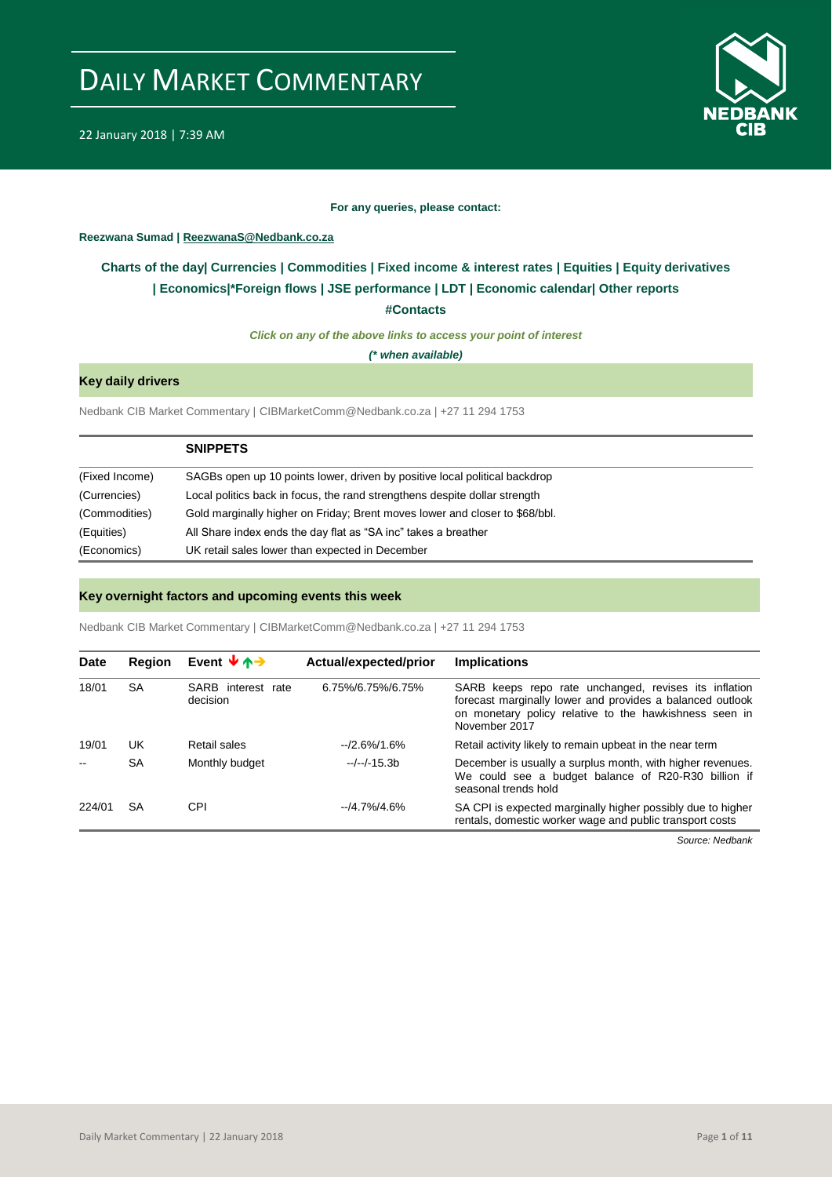



#### **For any queries, please contact:**

### <span id="page-0-0"></span>**Reezwana Sumad | ReezwanaS@Nedbank.co.za**

### **Charts of the day| [Currencies](#page-2-0) [| Commodities](#page-3-0) | [Fixed income & interest rates](#page-1-0) | [Equities](#page-4-0) | Equity derivatives | [Economics|\\*](#page-7-0)Foreign flows [| JSE performance](#page-4-1) | [LDT](#page-5-0) | [Economic calendar|](#page-8-0) Other reports**

**[#Contacts](#page-9-0)**

*Click on any of the above links to access your point of interest*

*(\* when available)*

### **Key daily drivers**

Nedbank CIB Market Commentary | CIBMarketComm@Nedbank.co.za | +27 11 294 1753

|                | <b>SNIPPETS</b>                                                             |
|----------------|-----------------------------------------------------------------------------|
| (Fixed Income) | SAGBs open up 10 points lower, driven by positive local political backdrop  |
| (Currencies)   | Local politics back in focus, the rand strengthens despite dollar strength  |
| (Commodities)  | Gold marginally higher on Friday; Brent moves lower and closer to \$68/bbl. |
| (Equities)     | All Share index ends the day flat as "SA inc" takes a breather              |
| (Economics)    | UK retail sales lower than expected in December                             |

#### **Key overnight factors and upcoming events this week**

Nedbank CIB Market Commentary | CIBMarketComm@Nedbank.co.za | +27 11 294 1753

| <b>Date</b> | Region    | Event $\mathbf{\overline{4}}$ $\mathbf{\overline{4}}$ | Actual/expected/prior | <b>Implications</b>                                                                                                                                                                           |
|-------------|-----------|-------------------------------------------------------|-----------------------|-----------------------------------------------------------------------------------------------------------------------------------------------------------------------------------------------|
| 18/01       | <b>SA</b> | SARB interest rate<br>decision                        | 6.75%/6.75%/6.75%     | SARB keeps repo rate unchanged, revises its inflation<br>forecast marginally lower and provides a balanced outlook<br>on monetary policy relative to the hawkishness seen in<br>November 2017 |
| 19/01       | UK        | Retail sales                                          | $-2.6\%/1.6\%$        | Retail activity likely to remain upbeat in the near term                                                                                                                                      |
|             | <b>SA</b> | Monthly budget                                        | $-/-/ -15.3b$         | December is usually a surplus month, with higher revenues.<br>We could see a budget balance of R20-R30 billion if<br>seasonal trends hold                                                     |
| 224/01      | SA        | CPI                                                   | $-14.7\%/4.6\%$       | SA CPI is expected marginally higher possibly due to higher<br>rentals, domestic worker wage and public transport costs                                                                       |

*Source: Nedbank*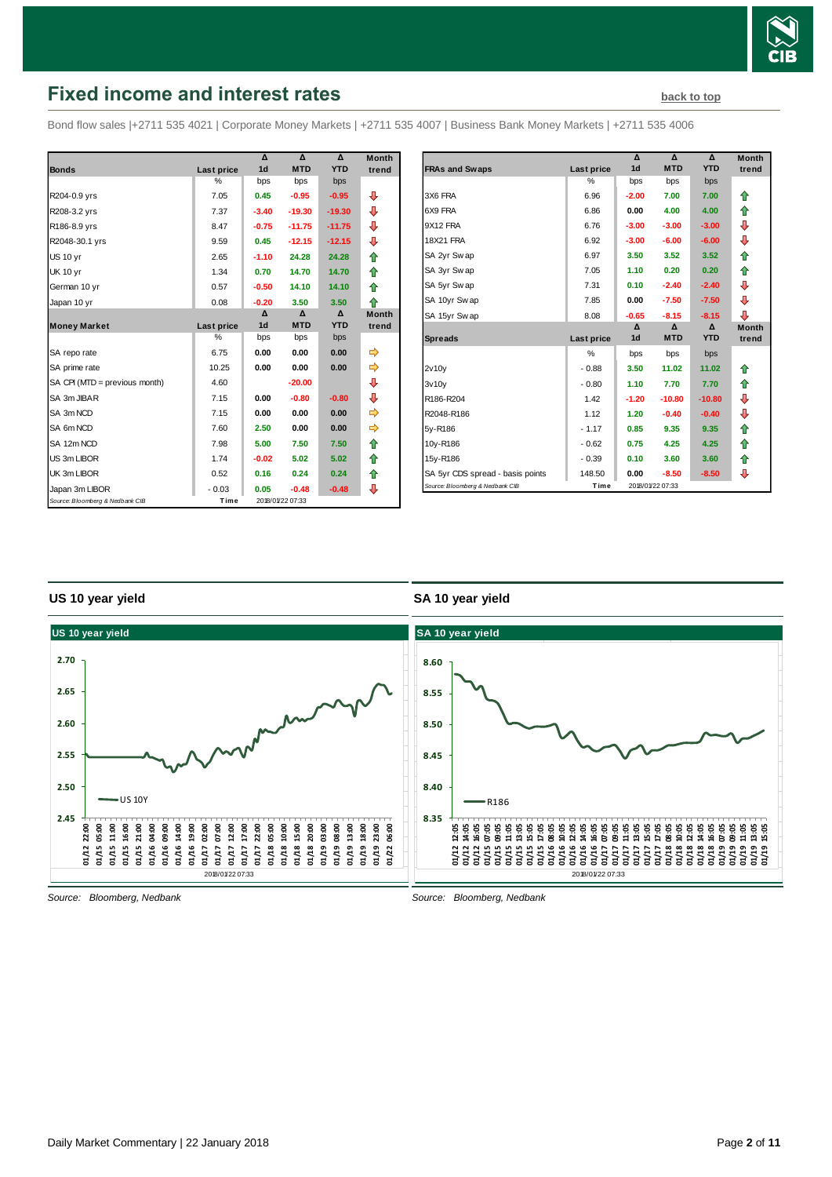

## <span id="page-1-0"></span>**Fixed income and interest rates [back to top](#page-0-0) back to top**

Bond flow sales |+2711 535 4021 | Corporate Money Markets | +2711 535 4007 | Business Bank Money Markets | +2711 535 4006

|                                 |            | Δ              | Δ                | Δ          | <b>Month</b> |
|---------------------------------|------------|----------------|------------------|------------|--------------|
| <b>Bonds</b>                    | Last price | 1 <sub>d</sub> | <b>MTD</b>       | <b>YTD</b> | trend        |
|                                 | %          | bps            | bps              | bps        |              |
| R204-0.9 yrs                    | 7.05       | 0.45           | $-0.95$          | $-0.95$    | ⊕            |
| R208-3.2 yrs                    | 7.37       | $-3.40$        | $-19.30$         | $-19.30$   | ⊕            |
| R186-8.9 yrs                    | 8.47       | $-0.75$        | $-11.75$         | $-11.75$   | ⊕            |
| R2048-30.1 yrs                  | 9.59       | 0.45           | $-12.15$         | $-12.15$   | ⊕            |
| <b>US 10 yr</b>                 | 2.65       | $-1.10$        | 24.28            | 24.28      | ⇮            |
| <b>UK 10 yr</b>                 | 1.34       | 0.70           | 14.70            | 14.70      | ⇑            |
| German 10 yr                    | 0.57       | $-0.50$        | 14.10            | 14.10      | ♠            |
| Japan 10 yr                     | 0.08       | $-0.20$        | 3.50             | 3.50       | ⇑            |
|                                 |            | Δ              | Δ                | Δ          | <b>Month</b> |
| <b>Money Market</b>             | Last price | 1 <sub>d</sub> | <b>MTD</b>       | <b>YTD</b> | trend        |
|                                 | %          | bps            | bps              | bps        |              |
| SA repo rate                    | 6.75       | 0.00           | 0.00             | 0.00       | ⇛            |
| SA prime rate                   | 10.25      | 0.00           | 0.00             | 0.00       | ⇛            |
| SA CPI (MTD = previous month)   | 4.60       |                | $-20.00$         |            | ⊕            |
| SA 3m JIBAR                     | 7.15       | 0.00           | $-0.80$          | $-0.80$    | ⊕            |
| SA 3m NCD                       | 7.15       | 0.00           | 0.00             | 0.00       | ⇨            |
| SA 6m NCD                       | 7.60       | 2.50           | 0.00             | 0.00       | ➾            |
| SA 12m NCD                      | 7.98       | 5.00           | 7.50             | 7.50       | ♠            |
| US 3m LIBOR                     | 1.74       | $-0.02$        | 5.02             | 5.02       | ⇑            |
| UK 3m LIBOR                     | 0.52       | 0.16           | 0.24             | 0.24       | ⇑            |
| Japan 3m LIBOR                  | $-0.03$    | 0.05           | $-0.48$          | $-0.48$    | ⊕            |
| Source: Bloomberg & Nedbank CIB | Time       |                | 2018/01/22 07:33 |            |              |

| Month |                                  |            | Δ              | Δ                | Δ          | <b>Month</b> |
|-------|----------------------------------|------------|----------------|------------------|------------|--------------|
| trend | <b>FRAs and Swaps</b>            | Last price | 1 <sub>d</sub> | <b>MTD</b>       | <b>YTD</b> | trend        |
|       |                                  | %          | bps            | bps              | bps        |              |
|       | 3X6 FRA                          | 6.96       | $-2.00$        | 7.00             | 7.00       | ⇑            |
|       | 6X9 FRA                          | 6.86       | 0.00           | 4.00             | 4.00       | 合            |
|       | 9X12 FRA                         | 6.76       | $-3.00$        | $-3.00$          | $-3.00$    | ⊕            |
|       | <b>18X21 FRA</b>                 | 6.92       | $-3.00$        | $-6.00$          | $-6.00$    | ⊕            |
|       | SA 2yr Swap                      | 6.97       | 3.50           | 3.52             | 3.52       | 合            |
|       | SA 3yr Swap                      | 7.05       | 1.10           | 0.20             | 0.20       | ⇑            |
|       | SA 5yr Swap                      | 7.31       | 0.10           | $-2.40$          | $-2.40$    | ⊕            |
|       | SA 10yr Swap                     | 7.85       | 0.00           | $-7.50$          | $-7.50$    | ⊕            |
|       | SA 15yr Swap                     | 8.08       | $-0.65$        | $-8.15$          | $-8.15$    | ⊕            |
| trend |                                  |            | Δ              | $\Delta$         | Δ          | <b>Month</b> |
|       | <b>Spreads</b>                   | Last price | 1 <sub>d</sub> | <b>MTD</b>       | <b>YTD</b> | trend        |
|       |                                  | %          | bps            | bps              | bps        |              |
|       | 2v10v                            | $-0.88$    | 3.50           | 11.02            | 11.02      | ⇑            |
|       | 3v10v                            | $-0.80$    | 1.10           | 7.70             | 7.70       | ⇑            |
|       | R186-R204                        | 1.42       | $-1.20$        | $-10.80$         | $-10.80$   | ⊕            |
|       | R2048-R186                       | 1.12       | 1.20           | $-0.40$          | $-0.40$    | ⊕            |
|       | 5y-R186                          | $-1.17$    | 0.85           | 9.35             | 9.35       | ⇑            |
|       | 10y-R186                         | $-0.62$    | 0.75           | 4.25             | 4.25       | 合            |
|       | 15y-R186                         | $-0.39$    | 0.10           | 3.60             | 3.60       | 合            |
|       | SA 5yr CDS spread - basis points | 148.50     | 0.00           | $-8.50$          | $-8.50$    | ⊕            |
|       | Source: Bloomberg & Nedbank CIB  | Time       |                | 2018/01/22 07:33 |            |              |

### **US 10 year yield**

#### **SA 10 year yield**



*Source: Bloomberg, Nedbank*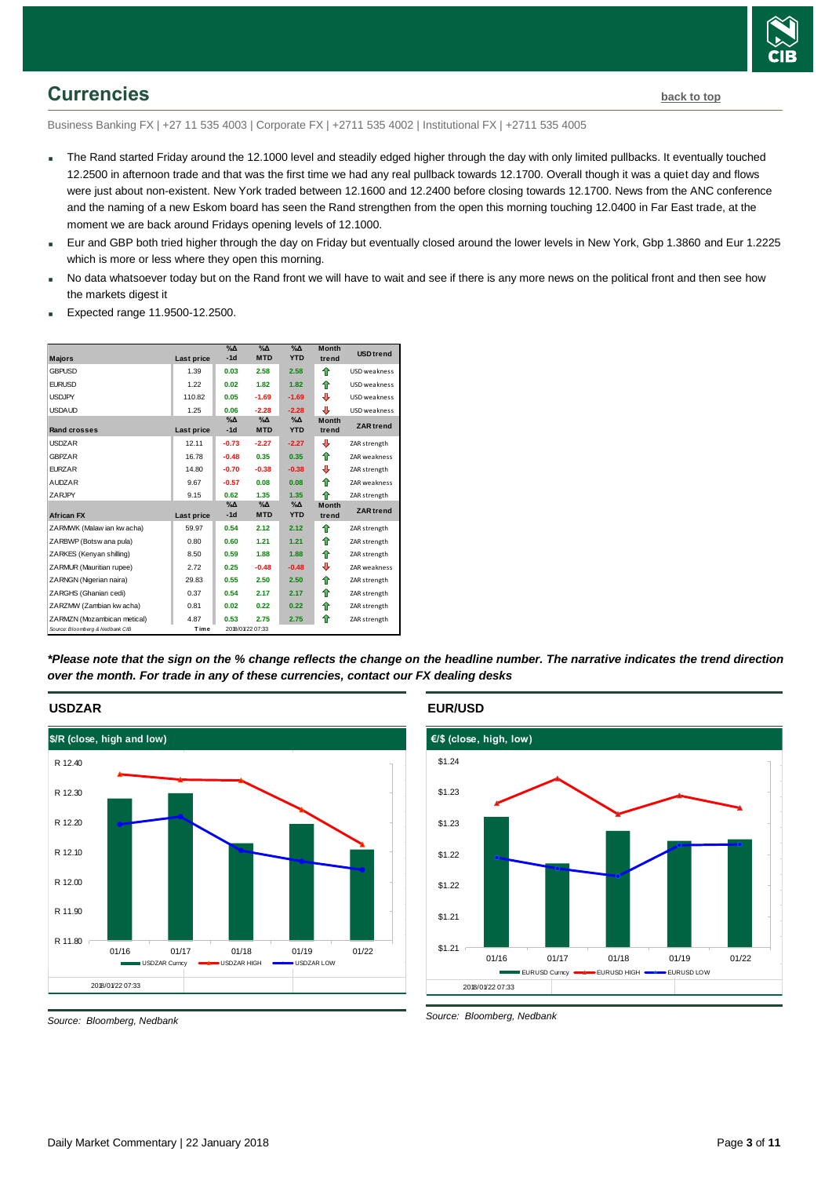

## <span id="page-2-0"></span>**Currencies [back to top](#page-0-0)**

Business Banking FX | +27 11 535 4003 | Corporate FX | +2711 535 4002 | Institutional FX | +2711 535 4005

- The Rand started Friday around the 12.1000 level and steadily edged higher through the day with only limited pullbacks. It eventually touched 12.2500 in afternoon trade and that was the first time we had any real pullback towards 12.1700. Overall though it was a quiet day and flows were just about non-existent. New York traded between 12.1600 and 12.2400 before closing towards 12.1700. News from the ANC conference and the naming of a new Eskom board has seen the Rand strengthen from the open this morning touching 12.0400 in Far East trade, at the moment we are back around Fridays opening levels of 12.1000.
- Eur and GBP both tried higher through the day on Friday but eventually closed around the lower levels in New York, Gbp 1.3860 and Eur 1.2225 which is more or less where they open this morning.
- No data whatsoever today but on the Rand front we will have to wait and see if there is any more news on the political front and then see how the markets digest it
- Expected range 11.9500-12.2500.

| <b>Majors</b>                   | <b>Last price</b> | $\%$ $\Delta$<br>$-1d$ | %Δ<br><b>MTD</b>            | $\%$ $\Delta$<br><b>YTD</b> | <b>Month</b><br>trend | <b>USD trend</b>    |
|---------------------------------|-------------------|------------------------|-----------------------------|-----------------------------|-----------------------|---------------------|
| <b>GBPUSD</b>                   | 1.39              | 0.03                   | 2.58                        | 2.58                        | ♠                     | USD weakness        |
| <b>EURUSD</b>                   | 1.22              | 0.02                   | 1.82                        | 1.82                        | ⇑                     | USD weakness        |
| <b>USDJPY</b>                   | 110.82            | 0.05                   | $-1.69$                     | $-1.69$                     | ⊕                     | USD weakness        |
| <b>USDAUD</b>                   | 1.25              | 0.06                   | $-2.28$                     | $-2.28$                     | ⊕                     | USD weakness        |
| <b>Rand crosses</b>             | Last price        | $\%$ $\Delta$<br>$-1d$ | $\%$ $\Delta$<br><b>MTD</b> | $\%$ $\Delta$<br><b>YTD</b> | <b>Month</b><br>trend | <b>ZAR trend</b>    |
| <b>USDZAR</b>                   | 12.11             | $-0.73$                | $-2.27$                     | $-2.27$                     | ⊕                     | ZAR strength        |
| <b>GBPZAR</b>                   | 16.78             | $-0.48$                | 0.35                        | 0.35                        | ⇑                     | <b>ZAR</b> weakness |
| <b>FURZAR</b>                   | 14.80             | $-0.70$                | $-0.38$                     | $-0.38$                     | ⊕                     | ZAR strength        |
| <b>AUDZAR</b>                   | 9.67              | $-0.57$                | 0.08                        | 0.08                        | ♠                     | ZAR weakness        |
| ZARJPY                          | 9.15              | 0.62                   | 1.35                        | 1.35                        | ♠                     | ZAR strength        |
| <b>African FX</b>               | <b>Last price</b> | $\%$ $\Delta$<br>$-1d$ | $\%$ $\Delta$<br><b>MTD</b> | $\%$ $\Delta$<br><b>YTD</b> | <b>Month</b><br>trend | <b>ZAR</b> trend    |
| ZARMWK (Malaw ian kw acha)      | 59.97             | 0.54                   | 2.12                        | 2.12                        | ♠                     | ZAR strength        |
| ZARBWP (Botsw ana pula)         | 0.80              | 0.60                   | 1.21                        | 1.21                        | ⇑                     | ZAR strength        |
| ZARKES (Kenyan shilling)        | 8.50              | 0.59                   | 1.88                        | 1.88                        | ⇑                     | ZAR strength        |
| ZARMUR (Mauritian rupee)        | 2.72              | 0.25                   | $-0.48$                     | $-0.48$                     | ⊕                     | ZAR weakness        |
| ZARNGN (Nigerian naira)         | 29.83             | 0.55                   | 2.50                        | 2.50                        | ⇑                     | ZAR strength        |
| ZARGHS (Ghanian cedi)           | 0.37              | 0.54                   | 2.17                        | 2.17                        | ♠                     | ZAR strength        |
| ZARZMW (Zambian kw acha)        | 0.81              | 0.02                   | 0.22                        | 0.22                        | ♠                     | ZAR strength        |
| ZARMZN (Mozambican metical)     | 4.87              | 0.53                   | 2.75                        | 2.75                        | ♠                     | ZAR strength        |
| Source: Bloomberg & Nedbank CIB | Time              |                        | 2018/01/22 07:33            |                             |                       |                     |

*\*Please note that the sign on the % change reflects the change on the headline number. The narrative indicates the trend direction over the month. For trade in any of these currencies, contact our FX dealing desks*



## **EUR/USD**



*Source: Bloomberg, Nedbank*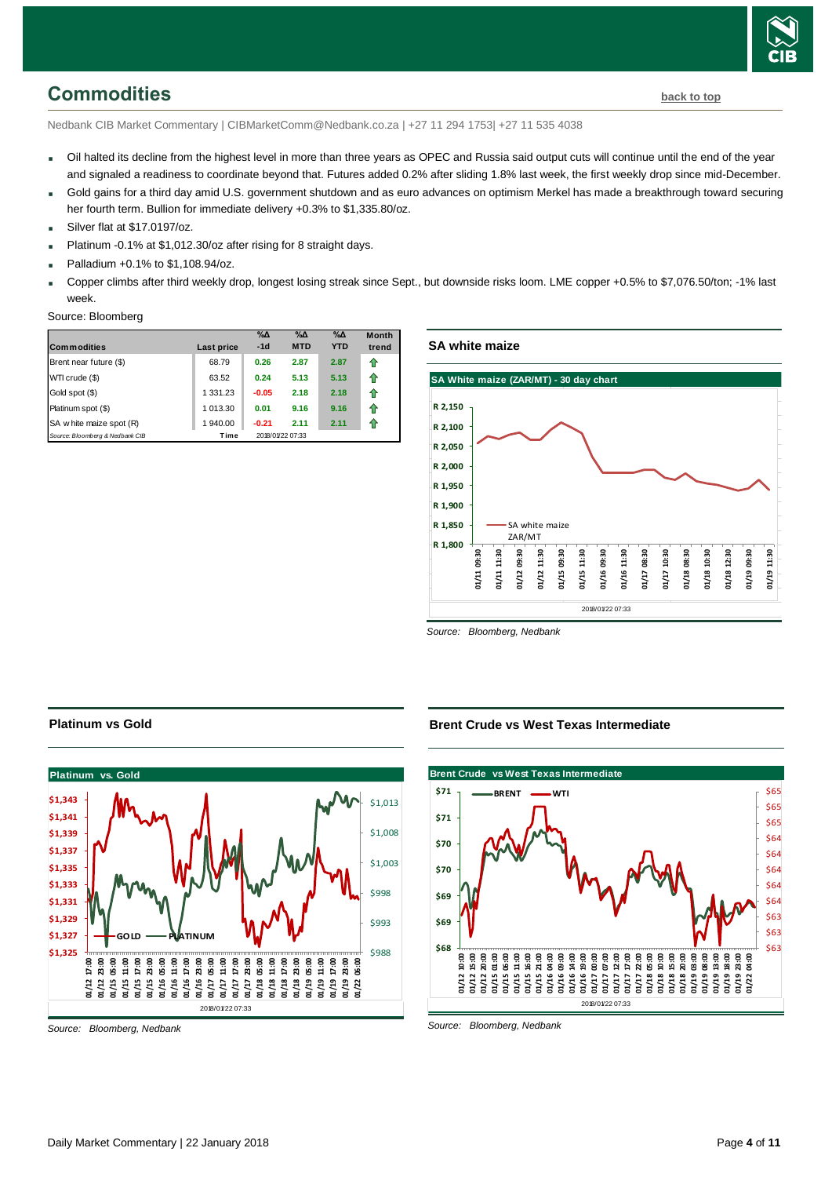

## <span id="page-3-0"></span>**Commodities [back to top](#page-0-0)**

Nedbank CIB Market Commentary | CIBMarketComm@Nedbank.co.za | +27 11 294 1753| +27 11 535 4038

- Oil halted its decline from the highest level in more than three years as OPEC and Russia said output cuts will continue until the end of the year and signaled a readiness to coordinate beyond that. Futures added 0.2% after sliding 1.8% last week, the first weekly drop since mid-December.
- Gold gains for a third day amid U.S. government shutdown and as euro advances on optimism Merkel has made a breakthrough toward securing her fourth term. Bullion for immediate delivery +0.3% to \$1,335.80/oz.
- Silver flat at \$17.0197/oz.
- Platinum -0.1% at \$1,012.30/oz after rising for 8 straight days.
- Palladium +0.1% to \$1,108.94/oz.
- Copper climbs after third weekly drop, longest losing streak since Sept., but downside risks loom. LME copper +0.5% to \$7,076.50/ton; -1% last week.

#### Source: Bloomberg

| <b>Commodities</b>              | Last price | $\%$ $\Delta$<br>$-1d$ | $\%$ $\Delta$<br><b>MTD</b> | $\%$ $\Delta$<br><b>YTD</b> | <b>Month</b><br>trend |
|---------------------------------|------------|------------------------|-----------------------------|-----------------------------|-----------------------|
| Brent near future (\$)          | 68.79      | 0.26                   | 2.87                        | 2.87                        | 10                    |
| WTI crude (\$)                  | 63.52      | 0.24                   | 5.13                        | 5.13                        | 10                    |
| Gold spot (\$)                  | 1 331.23   | $-0.05$                | 2.18                        | 2.18                        | 10                    |
| Platinum spot (\$)              | 1 013.30   | 0.01                   | 9.16                        | 9.16                        | 10                    |
| SA w hite maize spot (R)        | 1 940.00   | $-0.21$                | 2.11                        | 2.11                        | 10                    |
| Source: Bloomberg & Nedbank CIB | Time       |                        | 2018/01/22 07:33            |                             |                       |



*Source: Bloomberg, Nedbank*

#### **Platinum vs Gold**



*Source: Bloomberg, Nedbank*

#### **Brent Crude vs West Texas Intermediate**

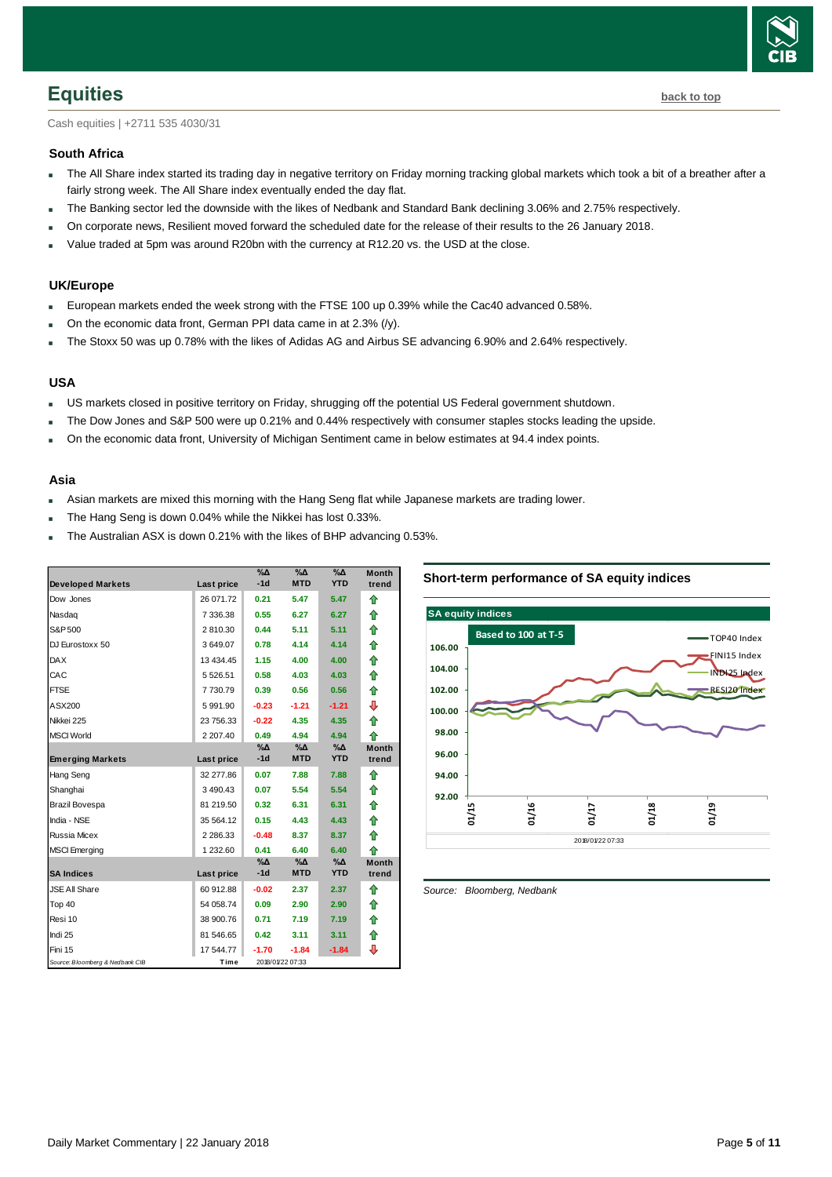

<span id="page-4-0"></span>Cash equities | +2711 535 4030/31

#### **South Africa**

- The All Share index started its trading day in negative territory on Friday morning tracking global markets which took a bit of a breather after a fairly strong week. The All Share index eventually ended the day flat.
- The Banking sector led the downside with the likes of Nedbank and Standard Bank declining 3.06% and 2.75% respectively.
- On corporate news, Resilient moved forward the scheduled date for the release of their results to the 26 January 2018.
- Value traded at 5pm was around R20bn with the currency at R12.20 vs. the USD at the close.

#### **UK/Europe**

- European markets ended the week strong with the FTSE 100 up 0.39% while the Cac40 advanced 0.58%.
- On the economic data front, German PPI data came in at 2.3% (/y).
- The Stoxx 50 was up 0.78% with the likes of Adidas AG and Airbus SE advancing 6.90% and 2.64% respectively.

#### **USA**

- US markets closed in positive territory on Friday, shrugging off the potential US Federal government shutdown.
- The Dow Jones and S&P 500 were up 0.21% and 0.44% respectively with consumer staples stocks leading the upside.
- On the economic data front, University of Michigan Sentiment came in below estimates at 94.4 index points.

#### **Asia**

- Asian markets are mixed this morning with the Hang Seng flat while Japanese markets are trading lower.
- The Hang Seng is down 0.04% while the Nikkei has lost 0.33%.
- The Australian ASX is down 0.21% with the likes of BHP advancing 0.53%.

|                                 |               | $\%$ $\Delta$ | %Δ               | %Δ            | <b>Month</b> |
|---------------------------------|---------------|---------------|------------------|---------------|--------------|
| <b>Developed Markets</b>        | Last price    | $-1d$         | <b>MTD</b>       | <b>YTD</b>    | trend        |
| Dow Jones                       | 26 071.72     | 0.21          | 5.47             | 5.47          | ⇑            |
| Nasdag                          | 7 336.38      | 0.55          | 6.27             | 6.27          | ⇑            |
| S&P 500                         | 2810.30       | 0.44          | 5.11             | 5.11          | 合            |
| DJ Eurostoxx 50                 | 3649.07       | 0.78          | 4.14             | 4.14          | 合            |
| <b>DAX</b>                      | 13 434.45     | 1.15          | 4.00             | 4.00          | 合            |
| CAC                             | 5 5 26.51     | 0.58          | 4.03             | 4.03          | 合            |
| <b>FTSE</b>                     | 7730.79       | 0.39          | 0.56             | 0.56          | 合            |
| ASX200                          | 5 991.90      | $-0.23$       | $-1.21$          | $-1.21$       | ⊕            |
| Nikkei 225                      | 23 756.33     | $-0.22$       | 4.35             | 4.35          | ♠            |
| <b>MSCI World</b>               | 2 207.40      | 0.49          | 4.94             | 4.94          | ♠            |
|                                 |               | %Δ            | %Δ               | $\%$ $\Delta$ | <b>Month</b> |
| <b>Emerging Markets</b>         | Last price    | $-1d$         | <b>MTD</b>       | <b>YTD</b>    | trend        |
| Hang Seng                       | 32 277.86     | 0.07          | 7.88             | 7.88          | ⇑            |
| Shanghai                        | 3 490.43      | 0.07          | 5.54             | 5.54          | ⇑            |
| Brazil Bovespa                  | 81 219.50     | 0.32          | 6.31             | 6.31          | ⇑            |
| India - NSE                     | 35 564.12     | 0.15          | 4.43             | 4.43          | ⇑            |
| <b>Russia Micex</b>             | 2 2 8 6 . 3 3 | $-0.48$       | 8.37             | 8.37          | 全            |
| <b>MSCI</b> Emerging            | 1 232.60      | 0.41          | 6.40             | 6.40          | 全            |
|                                 |               | $\%$ $\Delta$ | $\%$ $\Delta$    | $\%$ $\Delta$ | <b>Month</b> |
| <b>SA Indices</b>               | Last price    | $-1d$         | <b>MTD</b>       | <b>YTD</b>    | trend        |
| <b>JSE All Share</b>            | 60 912.88     | $-0.02$       | 2.37             | 2.37          | 企            |
| Top 40                          | 54 058.74     | 0.09          | 2.90             | 2.90          | ⇑            |
| Resi 10                         | 38 900.76     | 0.71          | 7.19             | 7.19          | 合            |
| Indi 25                         | 81 546.65     | 0.42          | 3.11             | 3.11          | 合            |
| Fini 15                         | 17 544.77     | $-1.70$       | $-1.84$          | $-1.84$       | ⊕            |
| Source: Bloomberg & Nedbank CIB | Time          |               | 2018/01/22 07:33 |               |              |

#### **Short-term performance of SA equity indices**



<span id="page-4-1"></span>*Source: Bloomberg, Nedbank*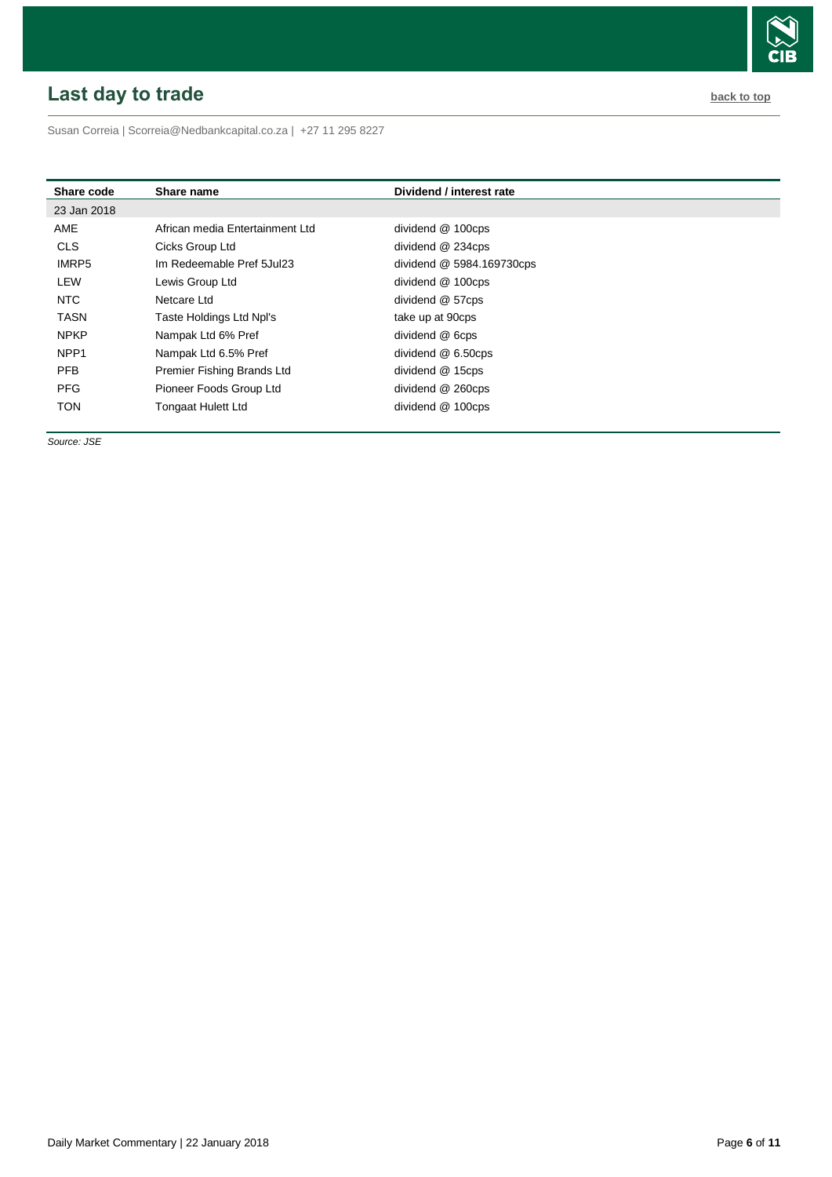# <span id="page-5-0"></span>**Last day to trade back to the contract of the contract of the contract of the contract of the contract of the contract of the contract of the contract of the contract of the contract of the contract of the contract of t**

Susan Correia [| Scorreia@Nedbankcapital.co.za](mailto:Scorreia@Nedbankcapital.co.za) | +27 11 295 8227

| Share code       | Share name                      | Dividend / interest rate  |
|------------------|---------------------------------|---------------------------|
| 23 Jan 2018      |                                 |                           |
| AME              | African media Entertainment Ltd | dividend @ 100cps         |
| <b>CLS</b>       | Cicks Group Ltd                 | dividend @ 234cps         |
| IMRP5            | Im Redeemable Pref 5Jul23       | dividend @ 5984.169730cps |
| LEW              | Lewis Group Ltd                 | dividend @ 100cps         |
| NTC              | Netcare Ltd                     | dividend @ 57cps          |
| <b>TASN</b>      | Taste Holdings Ltd Npl's        | take up at 90cps          |
| <b>NPKP</b>      | Nampak Ltd 6% Pref              | dividend @ 6cps           |
| NPP <sub>1</sub> | Nampak Ltd 6.5% Pref            | dividend @ 6.50cps        |
| <b>PFB</b>       | Premier Fishing Brands Ltd      | dividend @ 15cps          |
| <b>PFG</b>       | Pioneer Foods Group Ltd         | dividend @ 260cps         |
| <b>TON</b>       | <b>Tongaat Hulett Ltd</b>       | dividend @ 100cps         |

*Source: JSE*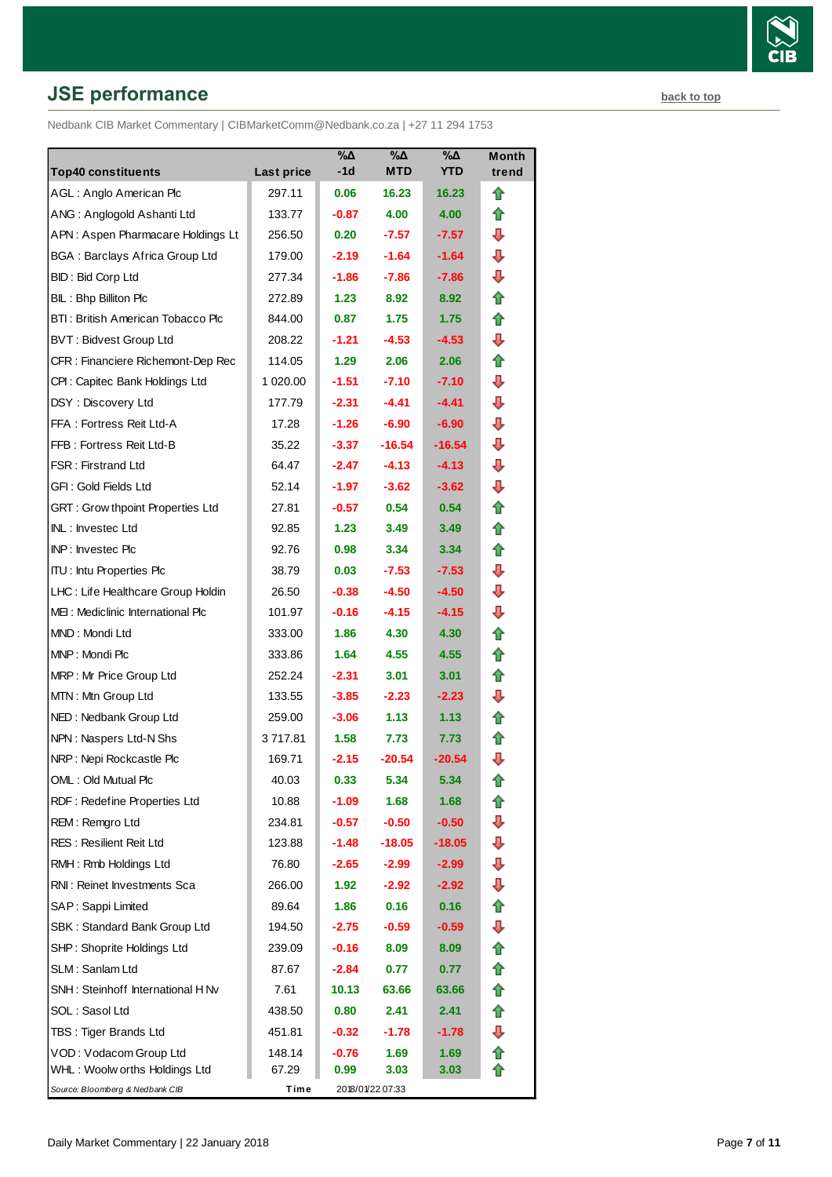# **JSE performance [back to top](#page-0-0) back to top**

Nedbank CIB Market Commentary | CIBMarketComm@Nedbank.co.za | +27 11 294 1753

| <b>Top40 constituents</b>               | Last price | $\%$ $\Delta$<br>-1d | $\%$ $\Delta$<br><b>MTD</b> | %Δ<br><b>YTD</b> | Month<br>trend |
|-----------------------------------------|------------|----------------------|-----------------------------|------------------|----------------|
| AGL: Anglo American Plc                 | 297.11     | 0.06                 | 16.23                       | 16.23            | ⇑              |
| ANG: Anglogold Ashanti Ltd              | 133.77     | $-0.87$              | 4.00                        | 4.00             | ⇑              |
| APN: Aspen Pharmacare Holdings Lt       | 256.50     | 0.20                 | $-7.57$                     | $-7.57$          | ⊕              |
| <b>BGA: Barclays Africa Group Ltd</b>   | 179.00     | $-2.19$              | $-1.64$                     | $-1.64$          | ⊕              |
| BID: Bid Corp Ltd                       | 277.34     | -1.86                | $-7.86$                     | $-7.86$          | ⇩              |
| BIL: Bhp Billiton Plc                   | 272.89     | 1.23                 | 8.92                        | 8.92             | ⇑              |
| BTI: British American Tobacco Plc       | 844.00     | 0.87                 | 1.75                        | 1.75             | ⇑              |
| <b>BVT: Bidvest Group Ltd</b>           | 208.22     | $-1.21$              | $-4.53$                     | $-4.53$          | ⊕              |
| CFR : Financiere Richemont-Dep Rec      | 114.05     | 1.29                 | 2.06                        | 2.06             | ⇑              |
| CPI: Capitec Bank Holdings Ltd          | 1 020.00   | $-1.51$              | $-7.10$                     | $-7.10$          | ⇩              |
| DSY: Discovery Ltd                      | 177.79     | $-2.31$              | $-4.41$                     | -4.41            | ⊕              |
| FFA: Fortress Reit Ltd-A                | 17.28      | $-1.26$              | $-6.90$                     | $-6.90$          | ⊕              |
| FFB: Fortress Reit Ltd-B                | 35.22      | $-3.37$              | $-16.54$                    | -16.54           | ⊕              |
| <b>FSR: Firstrand Ltd</b>               | 64.47      | $-2.47$              | $-4.13$                     | $-4.13$          | ⊕              |
| GFI: Gold Fields Ltd                    | 52.14      | $-1.97$              | $-3.62$                     | $-3.62$          | ⇩              |
| <b>GRT: Grow thpoint Properties Ltd</b> | 27.81      | $-0.57$              | 0.54                        | 0.54             | ⇑              |
| INL: Investec Ltd                       | 92.85      | 1.23                 | 3.49                        | 3.49             | ⇑              |
| INP: Investec Plc                       | 92.76      | 0.98                 | 3.34                        | 3.34             | ⇑              |
| <b>ITU:</b> Intu Properties Plc         | 38.79      | 0.03                 | $-7.53$                     | $-7.53$          | ⇩              |
| LHC: Life Healthcare Group Holdin       | 26.50      | $-0.38$              | $-4.50$                     | $-4.50$          | ⊕              |
| MEI: Mediclinic International Plc       | 101.97     | $-0.16$              | $-4.15$                     | -4.15            | ⇩              |
| MND: Mondi Ltd                          | 333.00     | 1.86                 | 4.30                        | 4.30             | ⇑              |
| MNP: Mondi Plc                          | 333.86     | 1.64                 | 4.55                        | 4.55             | ⇑              |
| MRP: Mr Price Group Ltd                 | 252.24     | $-2.31$              | 3.01                        | 3.01             | ⇑              |
| MTN: Mtn Group Ltd                      | 133.55     | $-3.85$              | $-2.23$                     | $-2.23$          | ⊕              |
| NED: Nedbank Group Ltd                  | 259.00     | $-3.06$              | 1.13                        | 1.13             | ⇑              |
| NPN: Naspers Ltd-N Shs                  | 3 717.81   | 1.58                 | 7.73                        | 7.73             | Ĥ              |
| NRP: Nepi Rockcastle Plc                | 169.71     | $-2.15$              | $-20.54$                    | $-20.54$         | ⇩              |
| OML: Old Mutual Plc                     | 40.03      | 0.33                 | 5.34                        | 5.34             | T              |
| RDF: Redefine Properties Ltd            | 10.88      | $-1.09$              | 1.68                        | 1.68             |                |
| REM: Remgro Ltd                         | 234.81     | $-0.57$              | $-0.50$                     | $-0.50$          | ⇩              |
| <b>RES: Resilient Reit Ltd</b>          | 123.88     | $-1.48$              | $-18.05$                    | -18.05           | ⇩              |
| RMH: Rmb Holdings Ltd                   | 76.80      | $-2.65$              | $-2.99$                     | -2.99            | ⇩              |
| RNI: Reinet Investments Sca             | 266.00     | 1.92                 | $-2.92$                     | -2.92            | ⇩              |
| SAP: Sappi Limited                      | 89.64      | 1.86                 | 0.16                        | 0.16             | ⇑              |
| SBK: Standard Bank Group Ltd            | 194.50     | $-2.75$              | $-0.59$                     | $-0.59$          | ⇩              |
| SHP: Shoprite Holdings Ltd              | 239.09     | $-0.16$              | 8.09                        | 8.09             |                |
| SLM: Sanlam Ltd                         | 87.67      | $-2.84$              | 0.77                        | 0.77             | ✿              |
| SNH: Steinhoff International H Nv       | 7.61       | 10.13                | 63.66                       | 63.66            | ⇑              |
| SOL: Sasol Ltd                          | 438.50     | 0.80                 | 2.41                        | 2.41             | ⇮              |
| TBS: Tiger Brands Ltd                   | 451.81     | $-0.32$              | $-1.78$                     | $-1.78$          | ⊕              |
| VOD: Vodacom Group Ltd                  | 148.14     | $-0.76$              | 1.69                        | 1.69             | ⇑              |
| WHL: Woolw orths Holdings Ltd           | 67.29      | 0.99                 | 3.03                        | 3.03             |                |
| Source: Bloomberg & Nedbank CIB         | Time       |                      | 2018/01/22 07:33            |                  |                |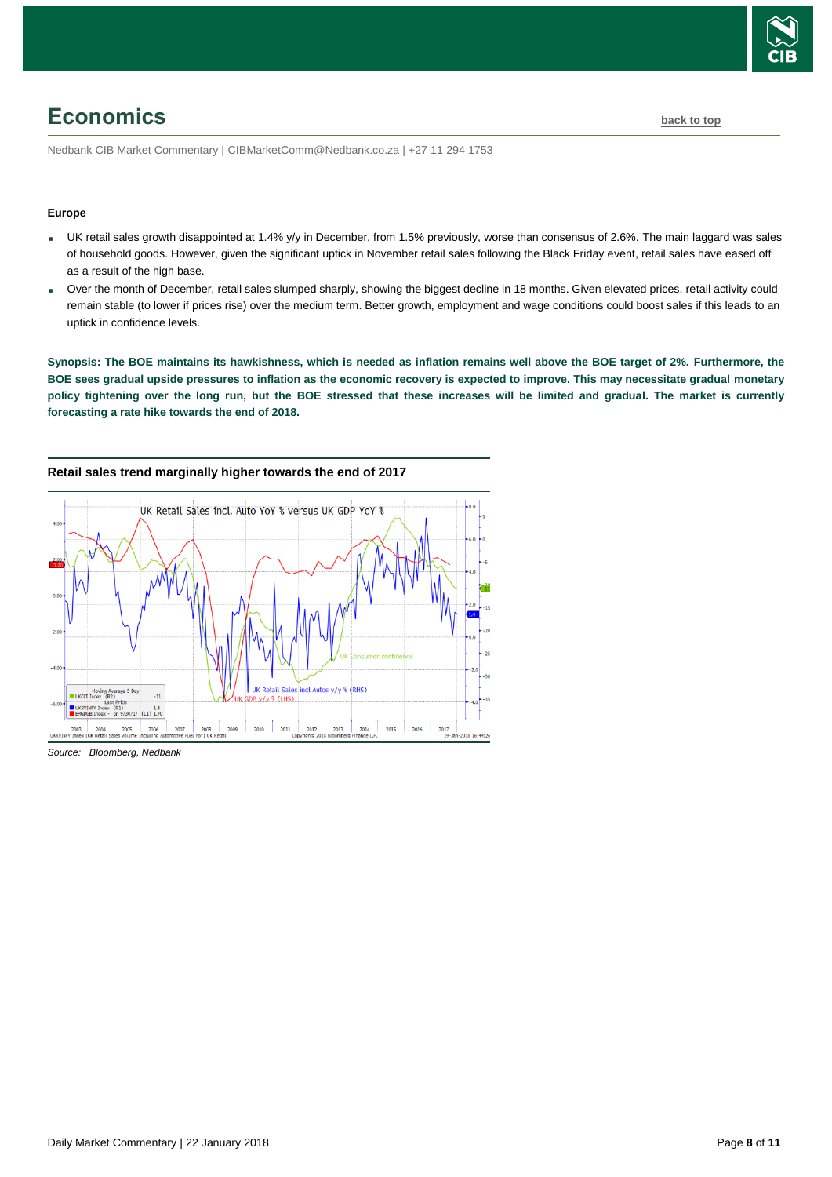

# <span id="page-7-0"></span>**Economics [back to top](#page-0-0)**

Nedbank CIB Market Commentary | CIBMarketComm@Nedbank.co.za | +27 11 294 1753

#### **Europe**

- UK retail sales growth disappointed at 1.4% y/y in December, from 1.5% previously, worse than consensus of 2.6%. The main laggard was sales of household goods. However, given the significant uptick in November retail sales following the Black Friday event, retail sales have eased off as a result of the high base.
- Over the month of December, retail sales slumped sharply, showing the biggest decline in 18 months. Given elevated prices, retail activity could remain stable (to lower if prices rise) over the medium term. Better growth, employment and wage conditions could boost sales if this leads to an uptick in confidence levels.

**Synopsis: The BOE maintains its hawkishness, which is needed as inflation remains well above the BOE target of 2%. Furthermore, the BOE sees gradual upside pressures to inflation as the economic recovery is expected to improve. This may necessitate gradual monetary policy tightening over the long run, but the BOE stressed that these increases will be limited and gradual. The market is currently forecasting a rate hike towards the end of 2018.**



#### **Retail sales trend marginally higher towards the end of 2017**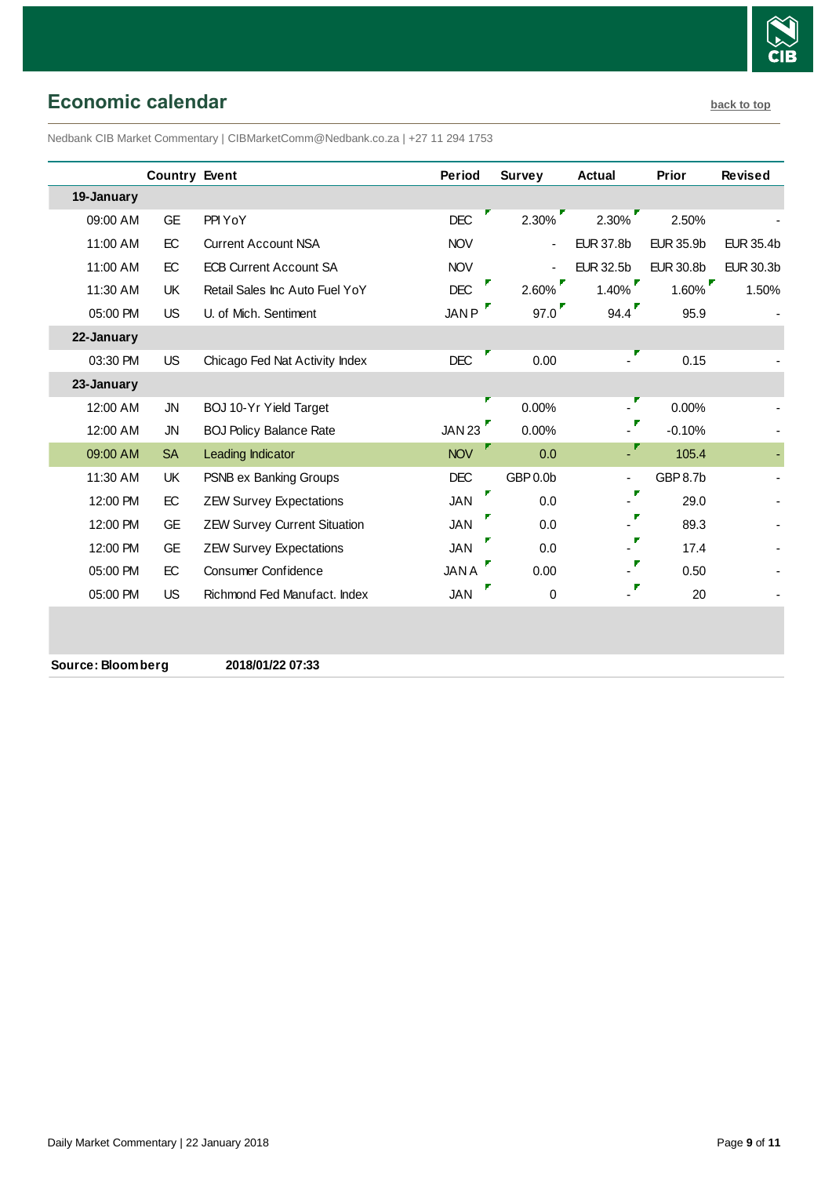

# <span id="page-8-0"></span>**Economic calendar [back to top](#page-0-0)**

Nedbank CIB Market Commentary | CIBMarketComm@Nedbank.co.za | +27 11 294 1753

|                   | <b>Country Event</b> |                                     | <b>Period</b> | <b>Survey</b>  | <b>Actual</b>             | Prior            | <b>Revised</b>   |
|-------------------|----------------------|-------------------------------------|---------------|----------------|---------------------------|------------------|------------------|
| 19-January        |                      |                                     |               |                |                           |                  |                  |
| 09:00 AM          | <b>GE</b>            | PPI YoY                             | <b>DEC</b>    | 2.30%          | 2.30%                     | 2.50%            |                  |
| 11:00 AM          | EC                   | <b>Current Account NSA</b>          | <b>NOV</b>    | $\blacksquare$ | <b>EUR 37.8b</b>          | <b>EUR 35.9b</b> | <b>EUR 35.4b</b> |
| 11:00 AM          | EC                   | <b>ECB Current Account SA</b>       | <b>NOV</b>    |                | <b>EUR 32.5b</b>          | <b>EUR 30.8b</b> | <b>EUR 30.3b</b> |
| 11:30 AM          | <b>UK</b>            | Retail Sales Inc Auto Fuel YoY      | <b>DEC</b>    | $2.60\%$       | $1.40\%$                  | 1.60%            | 1.50%            |
| 05:00 PM          | <b>US</b>            | U. of Mich. Sentiment               | JANP          | 97.0           | 94.4                      | 95.9             |                  |
| 22-January        |                      |                                     |               |                |                           |                  |                  |
| 03:30 PM          | <b>US</b>            | Chicago Fed Nat Activity Index      | <b>DEC</b>    | 0.00           |                           | 0.15             |                  |
| 23-January        |                      |                                     |               |                |                           |                  |                  |
| 12:00 AM          | <b>JN</b>            | BOJ 10-Yr Yield Target              |               | 0.00%          |                           | 0.00%            |                  |
| 12:00 AM          | <b>JN</b>            | <b>BOJ Policy Balance Rate</b>      | JAN 23        | 0.00%          |                           | $-0.10%$         |                  |
| 09:00 AM          | <b>SA</b>            | Leading Indicator                   | <b>NOV</b>    | 0.0            |                           | 105.4            |                  |
| 11:30 AM          | UK                   | PSNB ex Banking Groups              | <b>DEC</b>    | GBP 0.0b       |                           | <b>GBP 8.7b</b>  |                  |
| 12:00 PM          | EC                   | <b>ZEW Survey Expectations</b>      | <b>JAN</b>    | 0.0            |                           | 29.0             |                  |
| 12:00 PM          | <b>GE</b>            | <b>ZEW Survey Current Situation</b> | <b>JAN</b>    | 0.0            |                           | 89.3             |                  |
| 12:00 PM          | <b>GE</b>            | <b>ZEW Survey Expectations</b>      | <b>JAN</b>    | 0.0            |                           | 17.4             |                  |
| 05:00 PM          | EC                   | Consumer Confidence                 | <b>JANA</b>   | 0.00           |                           | 0.50             |                  |
| 05:00 PM          | US.                  | Richmond Fed Manufact. Index        | <b>JAN</b>    | 0              | $\mathbb{Z}^{\mathbf{F}}$ | 20               |                  |
|                   |                      |                                     |               |                |                           |                  |                  |
|                   |                      |                                     |               |                |                           |                  |                  |
| Source: Bloomberg |                      | 2018/01/22 07:33                    |               |                |                           |                  |                  |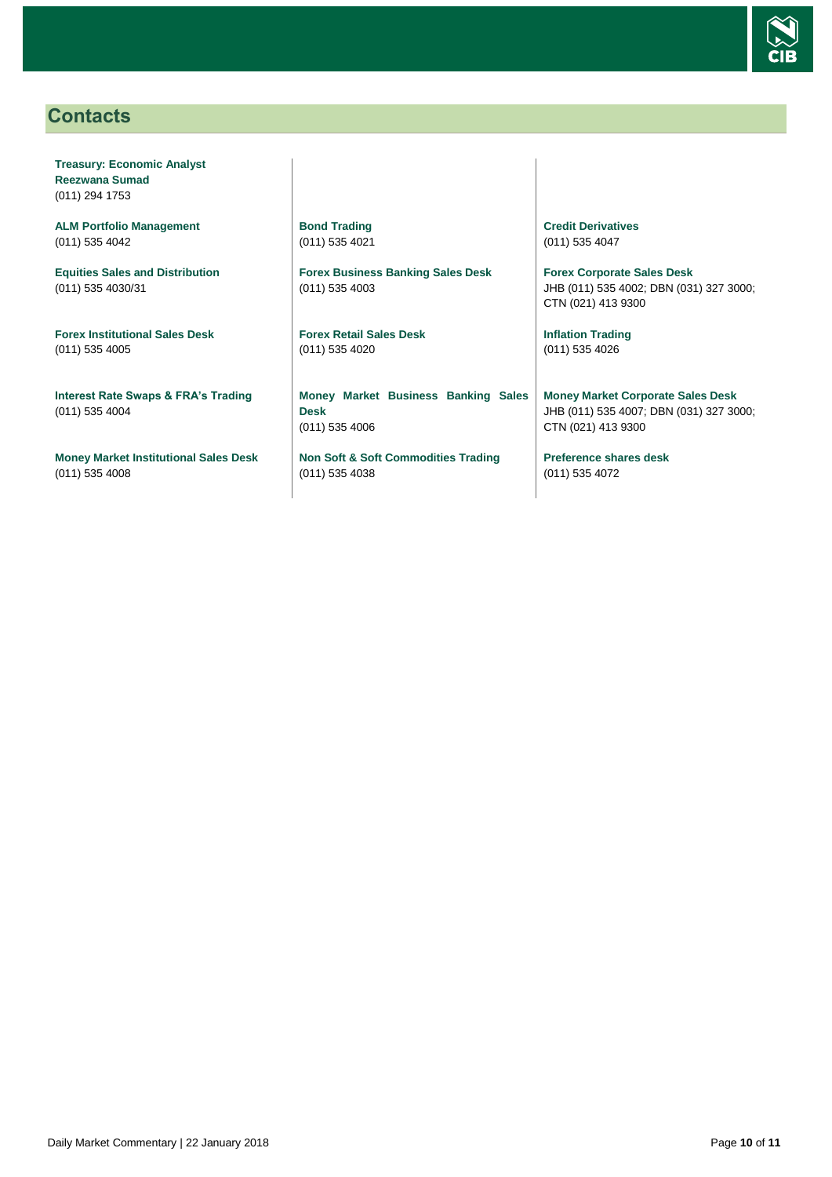

## <span id="page-9-0"></span>**Contacts**

**Treasury: Economic Analyst Reezwana Sumad** (011) 294 1753

**ALM Portfolio Management** (011) 535 4042

**Equities Sales and Distribution** (011) 535 4030/31

**Forex Institutional Sales Desk** (011) 535 4005

**Interest Rate Swaps & FRA's Trading** (011) 535 4004

**Money Market Institutional Sales Desk** (011) 535 4008

**Bond Trading** (011) 535 4021

**Forex Business Banking Sales Desk** (011) 535 4003

**Forex Retail Sales Desk** (011) 535 4020

**Money Market Business Banking Sales Desk** (011) 535 4006

**Non Soft & Soft Commodities Trading** (011) 535 4038

**Credit Derivatives**  (011) 535 4047

**Forex Corporate Sales Desk** JHB (011) 535 4002; DBN (031) 327 3000; CTN (021) 413 9300

**Inflation Trading** (011) 535 4026

**Money Market Corporate Sales Desk** JHB (011) 535 4007; DBN (031) 327 3000; CTN (021) 413 9300

**Preference shares desk** (011) 535 4072